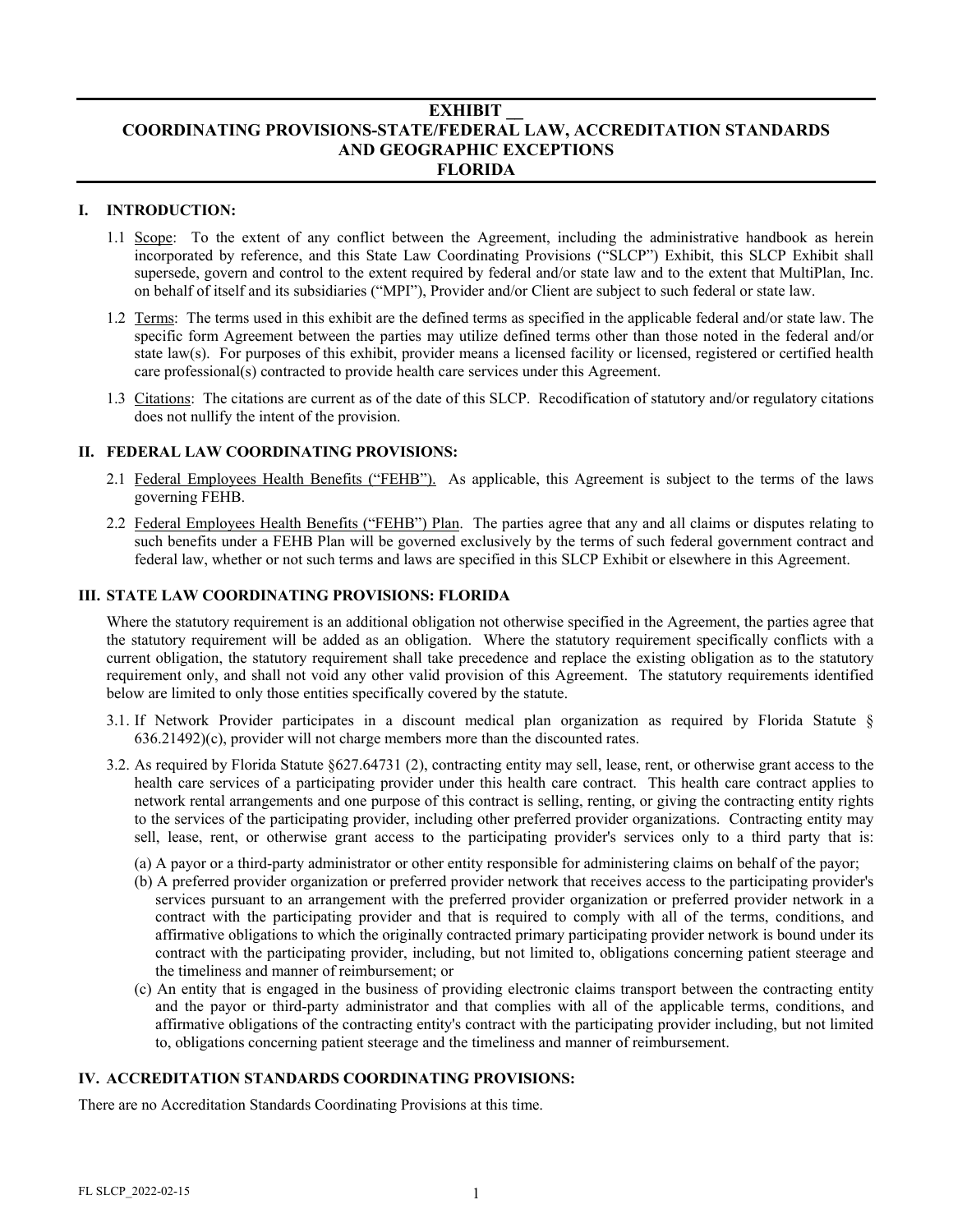# **EXHIBIT \_\_ COORDINATING PROVISIONS-STATE/FEDERAL LAW, ACCREDITATION STANDARDS AND GEOGRAPHIC EXCEPTIONS FLORIDA**

### **I. INTRODUCTION:**

- 1.1 Scope: To the extent of any conflict between the Agreement, including the administrative handbook as herein incorporated by reference, and this State Law Coordinating Provisions ("SLCP") Exhibit, this SLCP Exhibit shall supersede, govern and control to the extent required by federal and/or state law and to the extent that MultiPlan, Inc. on behalf of itself and its subsidiaries ("MPI"), Provider and/or Client are subject to such federal or state law.
- 1.2 Terms: The terms used in this exhibit are the defined terms as specified in the applicable federal and/or state law. The specific form Agreement between the parties may utilize defined terms other than those noted in the federal and/or state law(s). For purposes of this exhibit, provider means a licensed facility or licensed, registered or certified health care professional(s) contracted to provide health care services under this Agreement.
- 1.3 Citations: The citations are current as of the date of this SLCP. Recodification of statutory and/or regulatory citations does not nullify the intent of the provision.

## **II. FEDERAL LAW COORDINATING PROVISIONS:**

- 2.1 Federal Employees Health Benefits ("FEHB"). As applicable, this Agreement is subject to the terms of the laws governing FEHB.
- 2.2 Federal Employees Health Benefits ("FEHB") Plan. The parties agree that any and all claims or disputes relating to such benefits under a FEHB Plan will be governed exclusively by the terms of such federal government contract and federal law, whether or not such terms and laws are specified in this SLCP Exhibit or elsewhere in this Agreement.

#### **III. STATE LAW COORDINATING PROVISIONS: FLORIDA**

Where the statutory requirement is an additional obligation not otherwise specified in the Agreement, the parties agree that the statutory requirement will be added as an obligation. Where the statutory requirement specifically conflicts with a current obligation, the statutory requirement shall take precedence and replace the existing obligation as to the statutory requirement only, and shall not void any other valid provision of this Agreement. The statutory requirements identified below are limited to only those entities specifically covered by the statute.

- 3.1. If Network Provider participates in a discount medical plan organization as required by Florida Statute § 636.21492)(c), provider will not charge members more than the discounted rates.
- 3.2. As required by Florida Statute §627.64731 (2), contracting entity may sell, lease, rent, or otherwise grant access to the health care services of a participating provider under this health care contract. This health care contract applies to network rental arrangements and one purpose of this contract is selling, renting, or giving the contracting entity rights to the services of the participating provider, including other preferred provider organizations. Contracting entity may sell, lease, rent, or otherwise grant access to the participating provider's services only to a third party that is:
	- (a) A payor or a third-party administrator or other entity responsible for administering claims on behalf of the payor;
	- (b) A preferred provider organization or preferred provider network that receives access to the participating provider's services pursuant to an arrangement with the preferred provider organization or preferred provider network in a contract with the participating provider and that is required to comply with all of the terms, conditions, and affirmative obligations to which the originally contracted primary participating provider network is bound under its contract with the participating provider, including, but not limited to, obligations concerning patient steerage and the timeliness and manner of reimbursement; or
	- (c) An entity that is engaged in the business of providing electronic claims transport between the contracting entity and the payor or third-party administrator and that complies with all of the applicable terms, conditions, and affirmative obligations of the contracting entity's contract with the participating provider including, but not limited to, obligations concerning patient steerage and the timeliness and manner of reimbursement.

### **IV. ACCREDITATION STANDARDS COORDINATING PROVISIONS:**

There are no Accreditation Standards Coordinating Provisions at this time.